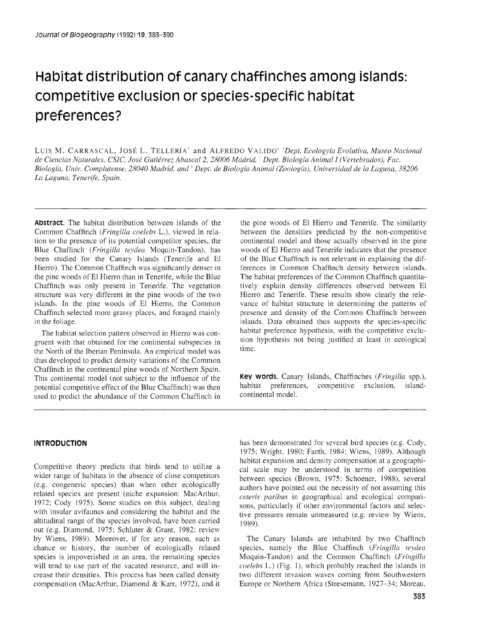# Habitat distribution of canary chaffinches among islands: competitive exclusion or species-specific habitat preferences?

LUIS M. CARRASCAL, JOSÉ L. TELLERÍA<sup>\*</sup> and ALFREDO VALIDO<sup>\*</sup> *Dept. Ecologyía Evolutiva, Museo Nacional* de Ciencias Naturales, CSIC, José Gutiérrez Abascal 2, 28006 Madrid, <sup>7</sup> Dept. Biología Animal I (Vertebrados), Fac. Biología, Univ. Complutense, 28040 Madrid, and <sup>\*</sup> Dept. de Biología Animal (Zoología), Universidad de la Laguna, 38206 La Laguna, Tenerife, Spain.

**AbStraCt.** The habitat distribution between islands of the Common Chaffinch (Fringilla coelebs L.), viewed in relation to the presence of its potential competitor species, the Blue Chaffinch (Fringilla teydea Moquin-Tandon), has been studied for the Canary Islands (Tenerife and El Hierro). The Common Chaffinch was significantly denser in the pine woods of El Hierro than in Tenerife, while the Blue Chaffinch was only present in Tenerife. The vegetation structure was very different in the pine woods of the two islands. In the pine woods of El Hierro, the Common Chaffinch selected more grassy places, and foraged mainly in the foliage.

The habitat selection pattern observed in Hierro was congruent with that obtained for the continental subspecies in the North of the Iberian Peninsula. An empirical model was thus developed to predict density variations of the Common Chaffinch in the continental pine woods of Northern Spain. This continental model (not subject to the influence of the potential competitive effect of the Blue Chaffinch) was then used to predict the abundance of the Common Chaffinch in

the pine woods of El Hierro and Tenerife. The similarity between the densities predicted by the non-competitive continental model and those actually observed in the pine woods of El Hierro and Tenerife indicates that the presence of the Blue Chaffinch is not relevant in explaining the differences in Common Chaffinch density between islands. The habitat preferences of the Common Chaffinch quantitatively explain density differences observed between El Hierro and Tenerife. These results show clearly the relevance of habitat structure in determining the patterns of presence and density of the Common Chaffinch between islands. Data obtained thus supports the species-specific habitat preference hypothesis, with the competitive exclusion hypothesis not being justified at least in ecological time.

**Key words.** Canary Islands, Chaffinches (Fringilla spp.), habitat preferences, competitive exclusion, islandcontinental model.

## **INTRODUCTION**

Competitive theory predicts that birds tend to utilize a wider range of habitats in the absence of close competitors (e.g. congeneric species) than when other ecologically related species are present (niche expansion: MacArthur, 1972; Cody 1975). Some studies on this subject, dealing with insular avifaunas and considering the habitat and the altitudinal range of the species involved, have been carried out (e.g. Diamond, 1975; Schluter & Grant, 1982; review by Wiens, 1989). Moreover, if for any reason, such as chance or history, the number of ecologically related species is impoverished in an area, the remaining species will tend to use part of the vacated resource, and will increase their densities. This process has been called density compensation (MacArthur, Diamond & Karr, 1972), and it

has been demonstrated for severa1 bird species (e.g. Cody, 1975; Wright, 1980; Faeth, 1984; Wiens, 1989). Although habitat expansion and density compensation at a geographical scale may be understood in terms of competition between species (Brown, 1975; Schoener, 1988), severa1 authors have pointed out the necessity of not assuming this ceteris paribus in geographical and ecological comparisons, particularly if other environmental factors and selective pressures remain unmeasured (e.g. review by Wiens, 1989).

The Canary Islands are inhabited by two Chaffinch species, namely the Blue Chaffinch (Fringilla teydea Moquin-Tandon) and the Common Chaffinch (Fringilla coelebs L.) (Fig. 1), which probably reached the islands in two different invasion waves coming from Southwestern Europe or Northern Africa (Stresemann, 1927-34; Moreau,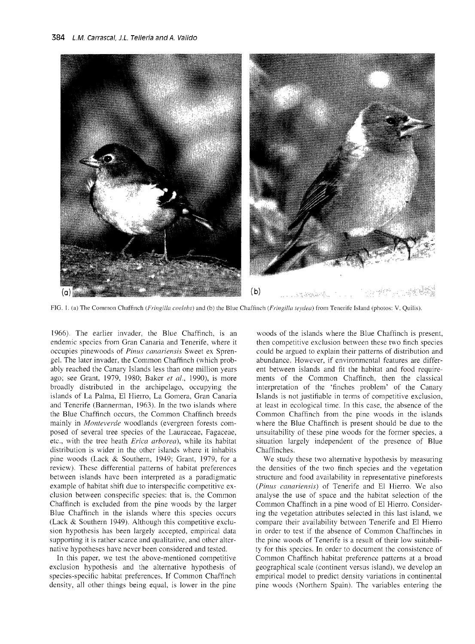

FIG. 1. (a) The Common Chaffinch (Fringilla coelebs) and (b) the Blue Chaffinch (Fringilla teydea) from Tenerife Island (photos: V. Quilis).

*1966). The earlier invader, the Blue Chaffinch, is an endemic species from Gran Canaria and Tenerife, where it occupies pinewoods of Pinus canariensis Sweet ex Sprengel. The later invader, the Common Chaffinch (which probably reached the Canary Islands less than one million years ago; see Grant, 1979, 1980; Baker et al., 1990), is more broadly distributed in the archipelago, occupying the islands of La Palma, El Hierro, La Gomera, Gran Canaria and Tenerife (Bannerman, 1963). In the two islands where the Blue Chaffinch occurs, the Common Chaffinch breeds*  mainly in *Monteverde* woodlands (evergreen forests com*posed of severa1 tree species of the Lauraceae, Fagaceae, etc., with the tree heath Erica arborea), while its habitat distribution is wider in the other islands where it inhabits pine woods (Lack* & *Southern, 1949; Grant, 1979, for a review). These differential patterns of habitat preferences between islands have been interpreted as a paradigmatic example of habitat shift due to interspecific competitive exclusion between conspecific species: that is, the Common Chaffinch is excluded from the pine woods by the larger*  Blue Chaffinch in the islands where this species occurs *(Lack* & *Southern 1949). Although this competitive exclusion hypothesis has been largely accepted, empirical data supporting it is rather scarce and qualitative, and other alternative hypotheses have never been considered and tested.* 

*In this paper, we test the above-mentioned competitive exclusion hypothesis and the alternative hypothesis of species-specific habitat preferences. If Common Chaffinch density, al1 other things being equal, is lower in the pine* 

*woods of the islands where the Blue Chaffinch is present, then competitive exclusion between these two finch species could be argued to explain their patterns of distribution and abundance. However, if environmental features are different between islands and fit the habitat and food requirements of the Common Chaffinch, then the classical interpretation of the 'finches problem' of the Canary Islands is not justifiable in terms of competitive exclusion, at least in ecological time. In this case, the absence of the Common Chaffinch from the pine woods in the islands*  where the Blue Chaffinch is present should be due to the *unsuitability of these pine woods for the former species, a situation largely independent of the presence of Blue Chaffinches.* 

*We study these two alternative hypothesis by measuring the densities of the two finch species and the vegetation structure and food availability in representative pineforests (Pinus canariensis)* of Tenerife and El Hierro. We also *analyse the use of space and the habitat selection of the Common Chaffinch in a pine wood of El Hierro. Considering the vegetation attributes selected in this last island, we compare their availability between Tenerife and El Hierro in order to test if the absence of Common Chaffinches in the pine woods of Tenerife is a result of their low suitability for this species. In order to document the consistence of Common Chaffinch habitat preference patterns at a broad geographical scale (continent versus island), we develop an empirical model to predict density variations in continental pine woods (Northern Spain). The variables entering the*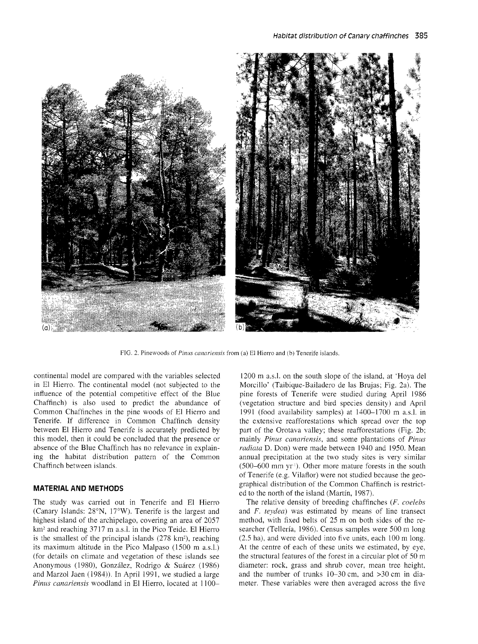

FIG. 2. Pinewoods of *Pinus canariensis* from (a) El Hierro and (b) Tenerife islands.

continental model are compared with the variables selected in El Hierro. The continental model (not subjected to the influence of the potential competitive effect of the Blue Chaffinch) is also used to predict the abundance of Common Chaffinches in the pine woods of El Hierro and Tenerife. If difference in Common Chaffinch density between El Hierro and Tenerife is accurately predicted by this model, then it could be concluded that the presence or absence of the Blue Chaffinch has no relevance in explaining the habitat distribution pattern of the Common Chaffinch between islands.

#### **MATERIAL AND METHODS**

The study was carried out in Tenerife and El Hierro (Canary Islands: 28"N, 17"W). Tenerife is the largest and highest island of the archipelago, covering an area of 2057 km<sup>2</sup> and reaching 3717 m a.s.l. in the Pico Teide. El Hierro is the smallest of the principal islands  $(278 \text{ km}^2)$ , reaching its maximum altitude in the Pico Malpaso (1500 m a.s.1.) (for details on clirnate and vegetation of these islands see Anonymous (1980), González, Rodrigo & Suárez (1986) and Marzol Jaen (1984)). In April 1991, we studied a large Pinus canariensis woodland in El Hierro, located at 1100-

1200 m a.s.1. on the south slope of the island, at 'Hoya del Morcilla' (Taibique-Bailadero de las Brujas; Fig. 2a). The pine forests of Tenerife were studied during April 1986 (vegetation structure and bird species density) and April 1991 (food availability samples) at 1400-1700 m a.s.l. in the extensive reafforestations which spread over the top part of the Orotava valley; these reafforestations (Fig. 2b; mainly Pinus canariensis, and some plantations of Pinus radiata D. Don) were made between 1940 and 1950. Mean annual precipitation at the two study sites is very similar  $(500-600 \text{ mm yr}^{\text{T}})$ . Other more mature forests in the south of Tenerife (e.g. Vilaflor) were not studied because the geographical distribution of the Comrnon Chaffinch is restricted to the north of the island (Martín, 1987).

The relative density of breeding chaffinches (F. coelebs and F. teydea) was estimated by means of line transect method, with fixed belts of 25 m on both sides of the researcher (Tellería, 1986). Census samples were 500 m long (2.5 ha), and were divided into five units, each 100 m long. At the centre of each of these units we estimated, by eye, the structural features of the forest in a circular plot of 50 m diarneter: rock, grass and shrub cover, mean tree height, and the number of trunks 10-30 cm, and >30 cm in diameter. These variables were then averaged across the five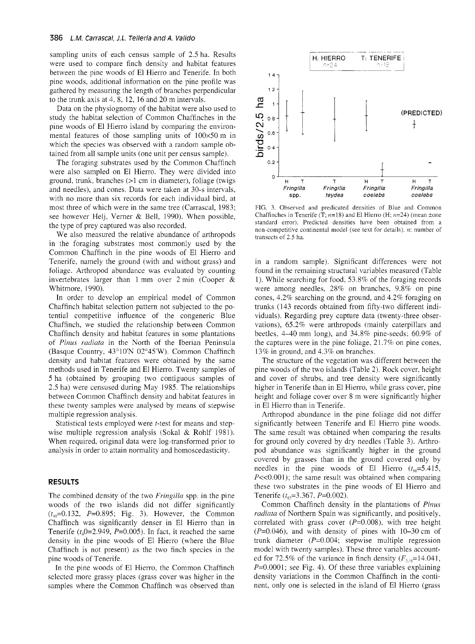sampling units of each census sample of 2.5 ha. Results were used to compare finch density and habitat features between the pine woods of El Hierro and Tenerife. In both pine woods, additional information on the pine profile was gathered by measuring the length of branches perpendicular to the trunk axis at  $4, 8, 12, 16$  and  $20$  m intervals.

Data on the physiognomy of the habitat were also used to study the habitat selection of Common Chaffinches in the pine woods of El Hierro island by comparing the environmental features of those sampling units of  $100\times50$  m in which the species was observed with a random sample obtained from al1 sarnple units (one unit per census sample).

The foraging substrates used by the Common Chaffinch were also sarnpled on El Hierro. They were divided into ground, trunk, branches (>1 cm in diameter), foliage (twigs and needles), and cones. Data were taken at 30-S intervals, with no more than six records for each individual bird, at most three of which were in the same tree (Carrascal, 1983; see however Helj, Verner & Bell, 1990). When possible, the type of prey captured was also recorded.

We also measured the relative abundance of arthropods in the foraging substrates most commonly used by the Common Chaffinch in the pine woods of El Hierro and Tenerife, namely the ground (with and without grass) and foliage. Arthropod abundance was evaluated by counting invertebrates larger than 1 mm over 2 min (Cooper & Whitmore, 1990).

In order to develop an empirical model of Common Chaffinch habitat selection pattern not subjected to the potential competitive influence of the congeneric Blue Chaffinch, we studied the relationship between Common Chaffinch density and habitat features in some plantations of Pinus radiata in the North of the Iberian Peninsula (Basque Country, 43'10'N 02'45'W). Common Chaffinch density and habitat features were obtained by the same methods used in Tenerife and El Hierro. Twenty samples of 5 ha (obtained by grouping two contiguous samples of 2.5 ha) were censused during May 1985. The relationships between Common Chaffinch density and habitat features in these twenty samples were analysed by means of stepwise multiple regression analysis.

Statistical tests employed were t-test for means and stepwise multiple regression analysis (Sokal & Rohlf 1981). When required, original data were log-transformed prior to analysis in order to attain normality and homoscedasticity.

#### **RESULTS**

The combined density of the two *Fringilla* spp. in the pine woods of the two islands did not differ significantly  $(t_{40}=0.132, P=0.895; Fig. 3)$ . However, the Common Chaffinch was significantly denser in El Hierro than in Tenerife ( $t_4$ 0=2.949, P=0.005). In fact, it reached the same density in the pine woods of El Hierro (where the Blue Chaffinch is not present) as the two finch species in the pine woods of Tenerife.

In the pine woods of El Hierro, the Common Chaffinch selected more grassy places (grass cover was higher in the samples where the Common Chaffinch was observed than



FIG. 3. Observed and predicated densities of Blue and Common Chaffinches in Tenerife (T;  $n=18$ ) and El Hierro (H;  $n=24$ ) (mean ±one standard error). Predicted densities have been obtained from a non-competitive continental model (see text for details). *n*: number of transects of 2.5 ha.

in a random sample). Significant differences were not found in the remaining structural variables measured (Table 1). While searching for food, 53.8% of the foraging records were among needles, 28% on branches, 9.8% on pine cones, 4.2% searching on the ground, and 4.2% foraging on trunks (143 records obtained from fifty-two different individuals). Regarding prey capture data (twenty-three observations), 65.2% were arthropods (mainly caterpillars and beetles, 4-40 mm long), and 34.8% pine-seeds; 60.9% of the captures were in the pine foliage,  $21.7\%$  on pine cones, 13% in ground, and 4.3% on branches.

The structure of the vegetation was different between the pine woods of the two islands (Table 2). Rock cover, height and cover of shrubs, and tree density were significantly higher in Tenerife than in El Hierro, while grass cover, pine height and foliage cover over 8 m were significantly higher in El Hierro than in Tenerife.

Arthropod abundance in the pine foliage did not differ significantly between Tenerife and El Hierro pine woods. The same result was obtained when comparing the results for ground only covered by dry needles (Table 3). Arthropod abundance was significantly higher in the ground covered by grasses than in the ground covered only by needles in the pine woods of El Hierro  $(t_{ss}=5.415,$  $P \ll 0.001$ ; the same result was obtained when comparing these two substrates in the pine woods of El Hierro and Tenerife  $(t_{\rm ss}=3.367, P=0.002)$ .

Common Chaffinch density in the plantations of Pinus radiata of Northern Spain was significantly, and positively, correlated with grass cover  $(P=0.008)$ , with tree height  $(P=0.046)$ , and with density of pines with 10-30 cm of trunk diameter  $(P=0.004)$ ; stepwise multiple regression model with twenty samples). These three variables accounted for 72.5% of the variance in finch density  $(F_{3.16}=14.041)$ ,  $P=0.0001$ ; see Fig. 4). Of these three variables explaining density variations in the Common Chaffinch in the continent, only one is selected in the island of El Hierro (grass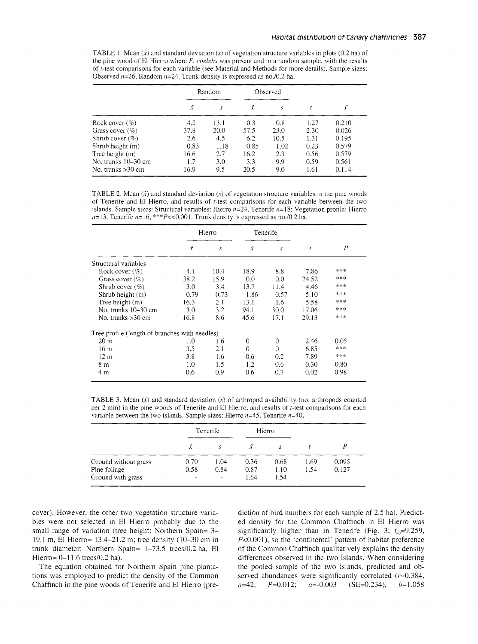TABLE 1. Mean  $(\bar{x})$  and standard deviation  $(s)$  of vegetation structure variables in plots  $(0.2 \text{ ha})$  of the pine wood of El Hierro where  $F.$  coelebs was present and in a random sample, with the results of r-test comparisons for each variable (see Material and Methods for more details). Sample sizes: Observed *n=26,* Random *n=24.* Trunk density is expressed as *no.10.2* ha.

|                     | Random    |      | Observed  |      |      |       |
|---------------------|-----------|------|-----------|------|------|-------|
|                     | $\bar{x}$ | S    | $\bar{x}$ | S    |      | Ρ     |
| Rock cover $(\% )$  | 4.2       | 13.1 | 0.3       | 0.8  | 1.27 | 0.210 |
| Grass cover $(\%)$  | 37.8      | 20.0 | 57.5      | 23.0 | 2.30 | 0.026 |
| Shrub cover $(\% )$ | 2.6       | 4.5  | 6.2       | 10.5 | 1.31 | 0.195 |
| Shrub height (m)    | 0.83      | 1.18 | 0.85      | 1.02 | 0.23 | 0.579 |
| Tree height (m)     | 16.6      | 2.7  | 16.2      | 2.3  | 0.56 | 0.579 |
| No. trunks 10–30 cm | 1.7       | 3.0  | 3.3       | 9.9  | 0.59 | 0.561 |
| No. trunks >30 cm   | 16.9      | 9.5  | 20.5      | 9.0  | 1.61 | 0.114 |

TABLE 2. Mean  $(\bar{x})$  and standard deviation  $(s)$  of vegetation structure variables in the pine woods of Tenerife and El Hierro, and results of r-test comparisons for each variable between the two islands. Sample sizes: Structural variables: Hierro *n=24,* Tenerife *ri=18;* Vegetation profile: Hierro  $n=13$ , Tenerife  $n=16$ , \*\*\* $P<< 0.001$ . Trunk density is expressed as no./0.2 ha.

|                                                | Hierro |      | Tenerife  |          |       |      |
|------------------------------------------------|--------|------|-----------|----------|-------|------|
|                                                | Ÿ      | s    | $\bar{x}$ | S        | t     | P    |
| Structural variables                           |        |      |           |          |       |      |
| Rock cover $(\% )$                             | 4.1    | 10.4 | 18.9      | 8.8      | 7.86  | ***  |
| Grass cover $(\%)$                             | 38.2   | 15.9 | 0.0       | 0.0      | 24.52 | ***  |
| Shrub cover $(\%)$                             | 3.0    | 3.4  | 13.7      | 11.4     | 4.46  | ***  |
| Shrub height (m)                               | 0.79   | 0.73 | 1.86      | 0.57     | 5.10  | ***  |
| Tree height (m)                                | 16.3   | 2.1  | 13.1      | 1.6      | 5.58  | ***  |
| No. trunks 10–30 cm                            | 3.0    | 32   | 94.1      | 30.0     | 17.06 | ***  |
| No. trunks $>30$ cm                            | 16.8   | 8.6  | 45.6      | 17.1     | 29.13 | ***  |
| Tree profile (length of branches with needles) |        |      |           |          |       |      |
| 20 <sub>m</sub>                                | 1.0    | 1.6  | 0         | $\Omega$ | 2.46  | 0.05 |
| 16 m                                           | 3.5    | 2.1  | $\Omega$  | $\Omega$ | 6.85  | ***  |
| 12 <sub>m</sub>                                | 3.8    | 1.6  | 0.6       | 0.2      | 7.89  | ***  |
| 8 m                                            | 1.0    | 1.5  | 1.2       | 0.6      | 0.30  | 0.80 |
| 4 m                                            | 0.6    | 0.9  | 0.6       | 0.7      | 0.02  | 0.98 |

TABLE 3. Mean  $(\bar{x})$  and standard deviation  $(s)$  of arthropod availability (no. arthropods counted per 2 min) in the pine woods of Tenerife and El Hierro, and results of t-test comparisons for each variable between the two islands. Sample sizes: Hierro *n=45,* Tenerife *n=40.* 

|                                   | Tenerife |      | Hierro       |              |      |       |
|-----------------------------------|----------|------|--------------|--------------|------|-------|
|                                   | Ÿ.       | s    | $\bar{x}$    | S            |      |       |
| Ground without grass              | 0.70     | 1.04 | 0.36         | 0.68         | 1.69 | 0.095 |
| Pine foliage<br>Ground with grass | 0.58     | 0.84 | 0.87<br>1.64 | 1.10<br>1.54 | 1.54 | 0.127 |

cover). However, the other two vegetation structure variables were not selected in El Hierro probably due to the small range of variation (tree height: Northern Spain= 3-19.1 m, El Hierro= 13.4-21.2 m; tree density (10-30 cm in trunk diameter: Northern Spain= 1-73.5 trees/0.2 ha, El Hierro=  $0-11.6$  trees/0.2 ha).

The equation obtained for Northern Spain pine plantations was employed to predict the density of the Common Chaffinch in the pine woods of Tenerife and El Hierro (prediction of bird numbers for each sample of 2.5 ha). Predicted density for the Common Chaffinch in El Hierro was significantly higher than in Tenerife (Fig. 3;  $t_{\text{m}}=9.259$ , P<0.001), so the 'continental' pattern of habitat preference of the Common Chaffinch qualitatively explains the density differences observed in the two islands. When considering the pooled sample of the two islands, predicted and observed abundances were significantly correlated  $(r=0.384,$  $n=42$ ,  $P=0.012$ ;  $a=-0.003$  (SE=0.234),  $b=1.058$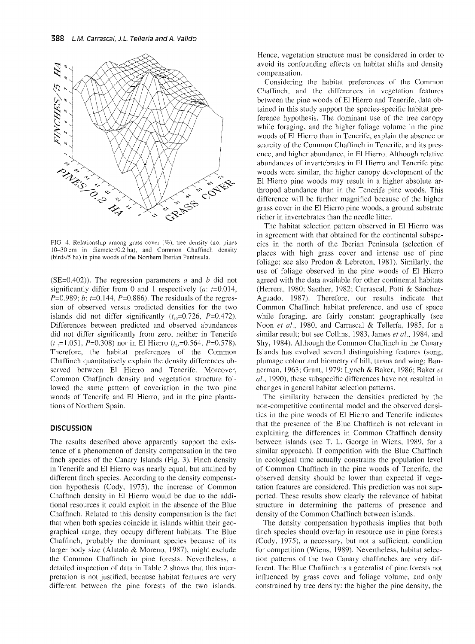

FIG. 4. Relationship among grass cover  $(\%)$ , tree density (no. pines 10-30 cm in diameter/0.2 ha), and Common Chaffinch density (birds/5 ha) in pine woods of the Northern Iberian Peninsula.

(SE=0.402)). The regression parameters  $a$  and  $b$  did not significantly differ from 0 and 1 respectively (a:  $t=0.014$ ,  $P=0.989$ ; b:  $t=0.144$ ,  $P=0.886$ ). The residuals of the regression of observed versus predicted densities for the two islands did not differ significantly  $(t_{40} = 0.726, P = 0.472)$ . Differences between predicted and observed abundances did not differ significantly from zero, neither in Tenerife  $(t_{17}=1.051, P=0.308)$  nor in El Hierro  $(t_{23}=0.564, P=0.578)$ . Therefore, the habitat preferences of the Common Chaffinch quantitatively explain the density differences observed between El Hierro and Tenerife. Moreover, Common Chaffinch density and vegetation structure followed the same pattern of coveriation in the two pine woods of Tenerife and El Hierro, and in the pine plantations of Northern Spain.

## **DISCUSSION**

The results described above apparently support the existence of a phenomenon of density compensation in the two finch species of the Canary Islands (Fig. 3). Finch density in Tenerife and El Hierro was nearly equal, but attained by different finch species. According to the density compensation hypothesis (Cody, 1975), the increase of Common Chaffinch density in El Hierro would be due to the additional resources it could exploit in the absence of the Blue Chaffinch. Related to this density compensation is the fact that when both species coincide in islands within their geographical range, they occupy different habitats. The Blue Chaffinch, probably the dominant species because of its larger body size (Alatalo & Moreno, 1987), might exclude the Common Chaffinch in pine forests. Nevertheless, a detailed inspection of data in Table 2 shows that this interpretation is not justified, because habitat features are very different between the pine forests of the two islands.

Hence, vegetation structure must be considered in order to avoid its confounding effects on habitat shifts and density compensation.

Considering the habitat preferences of the Common Chaffinch, and the differences in vegetation features between the pine woods of El Hierro and Tenerife, data obtained in this study support the species-specific habitat preference hypothesis. The dominant use of the tree canopy while foraging, and the higher foliage volume in the pine woods of El Hierro than in Tenerife, explain the absence or scarcity of the Common Chaffinch in Tenerife, and its presence, and higher abundance, in El Hierro. Although relative abundances of invertebrates in El Hierro and Tenerife pine woods were similar, the higher canopy development of the El Hierro pine woods may result in a higher absolute arthropod abundance than in the Tenerife pine woods. This difference will be further magnified because of the higher grass cover in the El Hierro pine woods, a ground substrate richer in invertebrates than the needle litter.

The habitat selection pattern observed in El Hierro was in agreement with that obtained for the continental subspecies in the north of the Iberian Peninsula (selection of places with high grass cover and intense use of pine foliage; see also Prodon & Lebreton, 1981). Similarly, the use of foliage observed in the pine woods of El Hierro agreed with the data available for other continental habitats (Herrera, 1980; Saether, 1982; Carrascal, Potti & Sánchez-Aguado, 1987). Therefore, our results indicate that Common Chaffinch habitat preference, and use of space while foraging, are fairly constant geographically (see Noon et al., 1980, and Carrascal & Tellería, 1985, for a similar result; but see Collins, 1983, James et al., 1984, and Shy, 1984). Although the Common Chaffinch in the Canary Islands has evolved severa1 distinguishing features (song, plumage colour and biometry of bill, tarsus and wing; Bannerman, 1963; Grant, 1979; Lynch & Baker, 1986; Baker et al., 1990), these subspecific differences have not resulted in changes in general habitat selection patterns.

The similarity between the densities predicted by the non-competitive continental model and the observed densities in the pine woods of El Hierro and Tenerife indicates that the presence of the Blue Chaffinch is not relevant in explaining the differences in Common Chaffinch density between islands (see T. L. George in Wiens, 1989, for a similar approach). If competition with the Blue Chaffinch in ecological time actually constrains the population leve1 of Common Chaffinch in the pine woods of Tenerife, the observed density should be lower than expected if vegetation features are considered. This prediction was not supported. These results show clearly the relevance of habitat structure in determining the patterns of presence and density of the Common Chaffinch between islands.

The density compensation hypothesis implies that both finch species should overlap in resource use in pine forests (Cody, 1975), a necessary, but not a sufficient, condition for competition (Wiens, 1989). Nevertheless, habitat selection patterns of the two Canary chaffinches are very different. The Blue Chaffinch is a generalist of pine forests not influenced by grass cover and foliage volume, and only constrained by tree density: the higher the pine density, the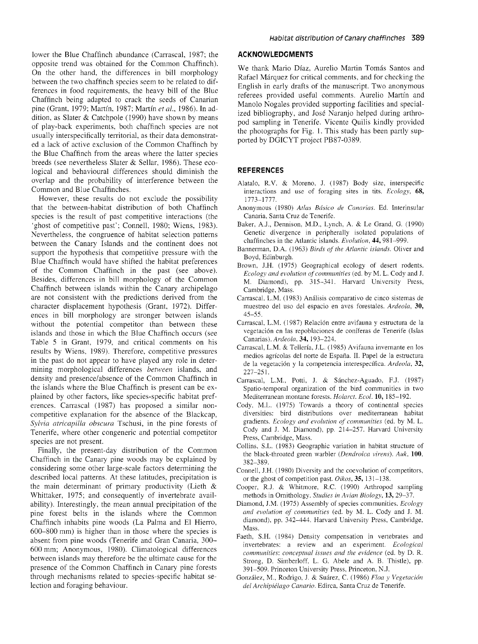lower the Blue Chaffinch abundance (Carrascal, 1987; the opposite trend was obtained for the Common Chaffinch). On the other hand, the differences in bill morphology between the two chaffinch species seem to be related to differences in food requirements, the heavy bill of the Blue Chaffinch being adapted to crack the seeds of Canarian pine (Grant, 1979; Martín, 1987; Martín *et al.,* 1986). In addition, as Slater & Catchpole (1990) have shown by means of play-back experiments, both chaffinch species are not usually interspecifically territorial, as their data demonstrated a lack of active exclusion of the Common Chaffinch by the Blue Chaffinch from the areas where the latter species breeds (see nevertheless Slater & Sellar, 1986). These ecological and behavioural differences should diminish the overlap and the probability of interference between the Common and Blue Chaffinches.

However, these results do not exclude the possibility that the between-habitat distribution of both Chaffinch species is the result of past competitive interactions (the 'ghost of competitive past'; Connell, 1980; Wiens, 1983). Nevertheless, the congruence of habitat selection patterns between the Canary Islands and the continent does not support the hypothesis that competitive pressure with the Blue Chaffinch would have shifted the habitat preferences of the Common Chaffinch in the past (see above). Besides. differences in bill morphology of the Common Chaffinch between islands within the Canary archipelago are not consistent with the predictions derived from the character displacement hypothesis (Grant, 1972). Differences in bill morphology are stronger between islands without the potential competitor than between these islands and those in which the Blue Chaffinch occurs (see Table 5 in Grant, 1979, and critical comments on his results by Wiens, 1989). Therefore, competitive pressures in the past do not appear to have played any role in determining morphological differences *between* islands, and density and presencelabsence of the Common Chaffinch in the islands where the Blue Chaffinch is present can be explained by other factors, like species-specific habitat preferences. Carrascal (1987) has proposed a similar noncompetitive explanation for the absence of the Blackcap, *Sylvia atricapilla obscura Tschusi*, in the pine forests of Tenerife, where other congeneric and potential competitor species are not present.

Finally, the present-day distribution of the Common Chaffinch in the Canary pine woods may be explained by considering some other large-scale factors determining the described local patterns. At these latitudes, precipitation is the main determinant of primary productivity (Lieth & Whittaker, 1975; and consequently of invertebrate availability). Interestingly, the mean annual precipitation of the pine forest belts in the islands where the Common Chaffinch inhabits pine woods (La Palma and El Hierro, 600-800 mm) is higher than in those where the species is absent from pine woods (Tenerife and Gran Canaria, 300- 600 mm; Anonymous, 1980). Climatological differences between islands may therefore be the ultimate cause for the presence of the Common Chaffinch in Canary pine forests through mechanisms related to species-specific habitat selection and foraging behaviour.

#### **ACKNOWLEDGMENTS**

We thank Mario Díaz, Aurelio Martin Tomás Santos and Rafael Márquez for critical comments, and for checking the English in early drafts of the manuscript. Two anonymous referees provided useful comments. Aurelio Martín and Manolo Nogales provided supporting facilities and specialized bibliography, and José Naranjo helped during arthropod sampling in Tenerife. Vicente Quilis kindly provided the photographs for Fig. 1. This study has been partly supported by DGICYT project PB87-0389.

### **REFERENCES**

- Alatalo, R.V. & Moreno, J. (1987) Body size, interspecific interactions and use of foraging sites in tits. *Ecology,* **68,**  1773-1 777.
- Anonymous (1980) *Atlas Básico de Canarias.* Ed. Interinsular Canaria, Santa Cruz de Tenerife.
- Baker, A.J., Dennison, M.D., Lynch, A. & Le Grand, G. (1990) Genetic divergence in peripherally isolated populations of chaffinches in the Atlantic islands. *Evolution*, **44**, 981-999.
- Bannerman, D.A. (1963) *Birds of the Atlantic islands*. Oliver and Boyd, Edinburgh.
- Brown, J.H. (1975) Geographical ecology of desert rodents. *Ecology and evolution of communities* (ed. by M. L. Cody and J. M. Diamond), pp. 315-341. Harvard University Press, Cambridge, Mass.
- Carrascal, L.M. (1983) Análisis comparativo de cinco sistemas de muestreo del uso del espacio en aves forestales. *Ardeola,* 30, 45-55.
- Carrascal, L.M. (1987) Relación entre avifauna y estructura de la vegetación en las repoblaciones de coníferas de Tenerife (Islas Canarias). *Ardeola,* 34, 193-224.
- Carrascal, L.M. & Tellería, J.L. (1985) Avifauna invernante en los medios agrícolas del norte de España. 11. Papel de la estructura de la vegetación y la competencia interespecífica. *Ardeola,* 32,  $227 - 251$ .
- Carrascal, L.M., Potti, J. & Sánchez-Aguado, F.J. (1987) Spatio-temporal organization of the bird communities in two Meditemanean montane forests. *Holarct. Ecol.* 10, 185-192.
- Cody, M.L. (1975) Towards a theory of continental species diversities: bird distributions over mediterranean habitat gradients. *Ecology and evolution of cornnmnities* (ed. by M. L. Cody and J. M. Diamond), pp. 214-257. Harvard University Press, Cambridge, Mass.
- Collins, S.L. (1983) Geographic variation in habitat structure of the black-throated green warbler *(Dendroica virens). Auk,* 100, 382-389.
- Connell, J.H. (1980) Diversity and the coevolution of competitors, or the ghost of competition past. *Oikos,* 35, 131-138.
- Cooper, R.J. & Whitmore, R.C. (1990) Arthropod sampling methods in Ornithology. *Studies in Avian Biology,* 13,29-37.
- Diamond, J.M. (1975) Assembly of species communities. *Ecology and evolution of cornrnunities* (ed. by M. L. Cody and J. M. diamond), pp. 342-444. Harvard University Press, Cambridge, Mass.
- Faeth, S.H. (1984) Density compensation in vertebrates and invertebrates: a review and an experiment. *Ecological cornrnunities: conceptual issues and the evidence* (ed. by D. R. Strong, D. Simberloff, L. G. Abele and A. B. Thistle), pp. 391-509. Princeton University Press, Princeton, N.J.
- González, M., Rodrigo, J. & Suárez, C. (1986) *Floa y Vegetación del Archipiélago Canario.* Edirca, Santa Cruz de Tenerife.